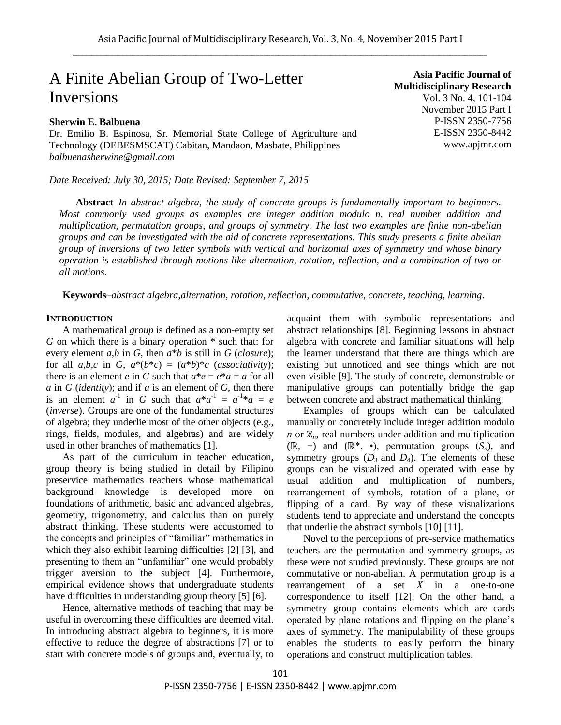# A Finite Abelian Group of Two-Letter Inversions

# **Sherwin E. Balbuena**

Dr. Emilio B. Espinosa, Sr. Memorial State College of Agriculture and Technology (DEBESMSCAT) Cabitan, Mandaon, Masbate, Philippines *balbuenasherwine@gmail.com*

*Date Received: July 30, 2015; Date Revised: September 7, 2015*

**Asia Pacific Journal of Multidisciplinary Research** Vol. 3 No. 4, 101-104 November 2015 Part I P-ISSN 2350-7756 E-ISSN 2350-8442 www.apjmr.com

**Abstract***–In abstract algebra, the study of concrete groups is fundamentally important to beginners. Most commonly used groups as examples are integer addition modulo n, real number addition and multiplication, permutation groups, and groups of symmetry. The last two examples are finite non-abelian groups and can be investigated with the aid of concrete representations. This study presents a finite abelian group of inversions of two letter symbols with vertical and horizontal axes of symmetry and whose binary operation is established through motions like alternation, rotation, reflection, and a combination of two or all motions.*

**Keywords**–*abstract algebra,alternation, rotation, reflection, commutative, concrete, teaching, learning.* 

## **INTRODUCTION**

A mathematical *group* is defined as a non-empty set *G* on which there is a binary operation \* such that: for every element *a,b* in *G*, then *a*\**b* is still in *G* (*closure*); for all  $a,b,c$  in  $G$ ,  $a^*(b^*c) = (a^*b)^*c$  (*associativity*); there is an element *e* in *G* such that  $a^*e = e^*a = a$  for all *a* in *G* (*identity*); and if *a* is an element of *G*, then there is an element  $a^{-1}$  in *G* such that  $a^*a^{-1} = a^{-1}*a = e$ (*inverse*). Groups are one of the fundamental structures of algebra; they underlie most of the other objects (e.g., rings, fields, modules, and algebras) and are widely used in other branches of mathematics [1].

As part of the curriculum in teacher education, group theory is being studied in detail by Filipino preservice mathematics teachers whose mathematical background knowledge is developed more on foundations of arithmetic, basic and advanced algebras, geometry, trigonometry, and calculus than on purely abstract thinking. These students were accustomed to the concepts and principles of "familiar" mathematics in which they also exhibit learning difficulties [2] [3], and presenting to them an "unfamiliar" one would probably trigger aversion to the subject [4]. Furthermore, empirical evidence shows that undergraduate students have difficulties in understanding group theory [5] [6].

Hence, alternative methods of teaching that may be useful in overcoming these difficulties are deemed vital. In introducing abstract algebra to beginners, it is more effective to reduce the degree of abstractions [7] or to start with concrete models of groups and, eventually, to acquaint them with symbolic representations and abstract relationships [8]. Beginning lessons in abstract algebra with concrete and familiar situations will help the learner understand that there are things which are existing but unnoticed and see things which are not even visible [9]. The study of concrete, demonstrable or manipulative groups can potentially bridge the gap between concrete and abstract mathematical thinking.

Examples of groups which can be calculated manually or concretely include integer addition modulo *n* or ℤ<sub>*n*</sub>, real numbers under addition and multiplication (ℝ, +) and (ℝ\*, •), permutation groups (*Sn*), and symmetry groups  $(D_3 \text{ and } D_4)$ . The elements of these groups can be visualized and operated with ease by usual addition and multiplication of numbers, rearrangement of symbols, rotation of a plane, or flipping of a card. By way of these visualizations students tend to appreciate and understand the concepts that underlie the abstract symbols [10] [11].

Novel to the perceptions of pre-service mathematics teachers are the permutation and symmetry groups, as these were not studied previously. These groups are not commutative or non-abelian. A permutation group is a rearrangement of a set  $\overline{X}$  in a one-to-one correspondence to itself [12]. On the other hand, a symmetry group contains elements which are cards operated by plane rotations and flipping on the plane's axes of symmetry. The manipulability of these groups enables the students to easily perform the binary operations and construct multiplication tables.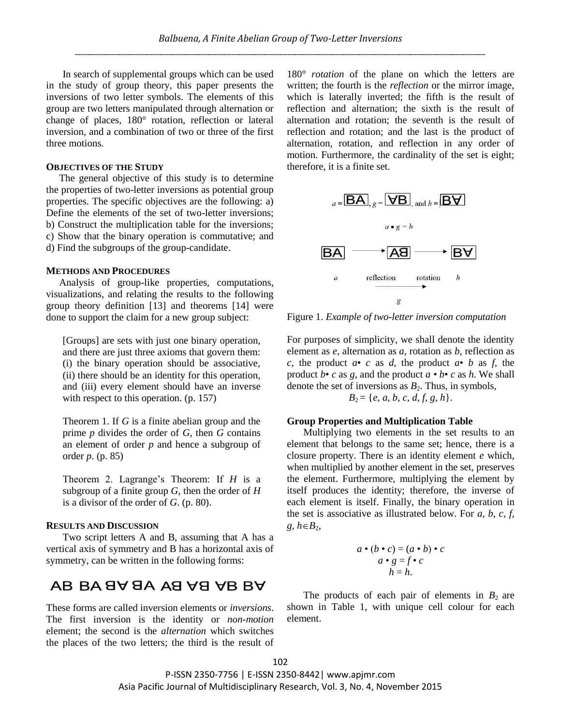In search of supplemental groups which can be used in the study of group theory, this paper presents the inversions of two letter symbols. The elements of this group are two letters manipulated through alternation or change of places, 180° rotation, reflection or lateral inversion, and a combination of two or three of the first three motions.

### **OBJECTIVES OF THE STUDY**

The general objective of this study is to determine the properties of two-letter inversions as potential group properties. The specific objectives are the following: a) Define the elements of the set of two-letter inversions; b) Construct the multiplication table for the inversions; c) Show that the binary operation is commutative; and d) Find the subgroups of the group-candidate.  $BA \longrightarrow AA$ 

### **METHODS AND PROCEDURES**

Analysis of group-like properties, computations, visualizations, and relating the results to the following group theory definition [13] and theorems [14] were done to support the claim for a new group subject:

[Groups] are sets with just one binary operation, and there are just three axioms that govern them: (i) the binary operation should be associative, (ii) there should be an identity for this operation, and (iii) every element should have an inverse with respect to this operation. (p. 157)

Theorem 1. If *G* is a finite abelian group and the prime *p* divides the order of *G*, then *G* contains an element of order *p* and hence a subgroup of order *p*. (p. 85)

Theorem 2. Lagrange's Theorem: If *H* is a subgroup of a finite group *G*, then the order of *H* is a divisor of the order of *G*. (p. 80).

### **RESULTS AND DISCUSSION**

Two script letters A and B, assuming that A has a vertical axis of symmetry and B has a horizontal axis of symmetry, can be written in the following forms:

# AB BA 8Y 8A AS YS YB BY

These forms are called inversion elements or *inversions*. The first inversion is the identity or *non-motion* element; the second is the *alternation* which switches the places of the two letters; the third is the result of

180° *rotation* of the plane on which the letters are written; the fourth is the *reflection* or the mirror image, which is laterally inverted; the fifth is the result of reflection and alternation; the sixth is the result of alternation and rotation; the seventh is the result of reflection and rotation; and the last is the product of alternation, rotation, and reflection in any order of motion. Furthermore, the cardinality of the set is eight; therefore, it is a finite set.



Figure 1. *Example of two-letter inversion computation*

For purposes of simplicity, we shall denote the identity element as *e*, alternation as *a*, rotation as *b*, reflection as *c*, the product  $a \cdot c$  as *d*, the product  $a \cdot b$  as *f*, the product  $b \cdot c$  as g, and the product  $a \cdot b \cdot c$  as  $h$ . We shall denote the set of inversions as  $B_2$ . Thus, in symbols,  $\frac{1}{2}$ 

$$
B_2 = \{e, a, b, c, d, f, g, h\}.
$$

### **Group Properties and Multiplication Table**

Multiplying two elements in the set results to an element that belongs to the same set; hence, there is a closure property. There is an identity element *e* which, when multiplied by another element in the set, preserves the element. Furthermore, multiplying the element by itself produces the identity; therefore, the inverse of each element is itself. Finally, the binary operation in the set is associative as illustrated below. For *a, b, c, f,*   $g, h \in B_2$ ,

$$
a \bullet (b \bullet c) = (a \bullet b) \bullet c
$$
  
\n
$$
a \bullet g = f \bullet c
$$
  
\n
$$
h = h.
$$

The products of each pair of elements in  $B_2$  are shown in Table 1, with unique cell colour for each element.

P-ISSN 2350-7756 | E-ISSN 2350-8442| www.apjmr.com Asia Pacific Journal of Multidisciplinary Research, Vol. 3, No. 4, November 2015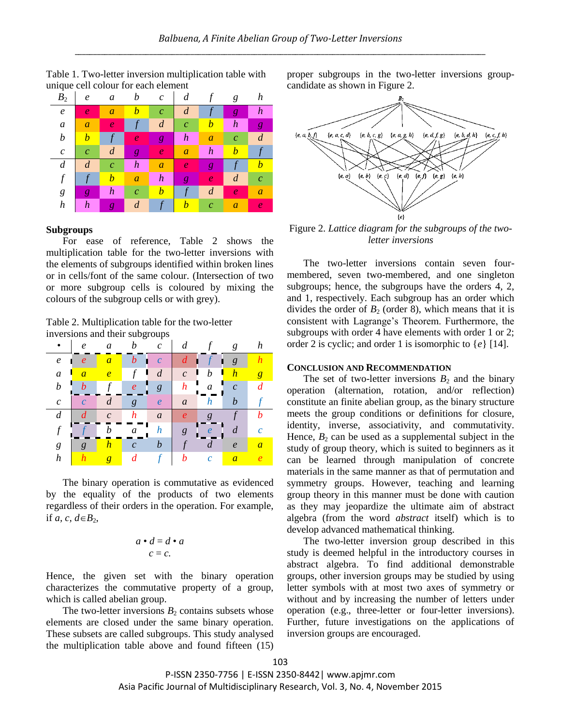

Table 1. Two-letter inversion multiplication table with unique cell colour for each element

### **Subgroups**

For ease of reference, Table 2 shows the multiplication table for the two-letter inversions with the elements of subgroups identified within broken lines or in cells/font of the same colour. (Intersection of two or more subgroup cells is coloured by mixing the colours of the subgroup cells or with grey).

Table 2. Multiplication table for the two-letter inversions and their subgroups

|                  | $\boldsymbol{e}$       | a                |                       | $\mathcal{C}_{0}$ |                  |                  | g                |          |
|------------------|------------------------|------------------|-----------------------|-------------------|------------------|------------------|------------------|----------|
| $\boldsymbol{e}$ | $\boldsymbol{\varrho}$ | $\overline{a}$   | $\boldsymbol{b}$      | $\mathcal{C}$     | d                | I                | $\mathfrak{g}$   |          |
| $\boldsymbol{a}$ | $\overline{a}$         | $\overline{e}$   | $\mathcal{f}$<br>п    | $\boldsymbol{d}$  | $\mathcal{C}$    | Ц<br>h<br>ı      | $\overline{h}$   | g        |
| $\boldsymbol{b}$ | $\bm{h}$               |                  | $\boldsymbol{e}$      | $\mathfrak g$     | $\boldsymbol{h}$ | a                | $\mathcal{C}$    |          |
| $\mathfrak c$    | $\mathcal{C}_{0}^{0}$  | $\boldsymbol{d}$ | g                     | $\boldsymbol{e}$  | $\mathfrak a$    | $\boldsymbol{h}$ | $\boldsymbol{h}$ |          |
| $\boldsymbol{d}$ |                        | $\mathcal{C}$    | h                     | $\boldsymbol{a}$  | $\boldsymbol{e}$ | g                |                  |          |
| $\boldsymbol{f}$ |                        | b                | a                     | $\boldsymbol{h}$  | $\boldsymbol{g}$ | $\boldsymbol{e}$ | $\boldsymbol{d}$ |          |
| g                | g                      | $\boldsymbol{h}$ | $\mathcal{C}_{0}^{0}$ | b                 |                  | $\boldsymbol{d}$ | $\boldsymbol{e}$ | $\it{a}$ |
| h                |                        | $\overline{g}$   |                       |                   | b                | $\mathcal{C}$    | $\overline{a}$   |          |

The binary operation is commutative as evidenced by the equality of the products of two elements regardless of their orders in the operation. For example, if *a*, *c*,  $d \in B_2$ ,

$$
a \bullet d = d \bullet a
$$

$$
c = c.
$$

Hence, the given set with the binary operation characterizes the commutative property of a group, which is called abelian group.

The two-letter inversions  $B_2$  contains subsets whose elements are closed under the same binary operation. These subsets are called subgroups. This study analysed the multiplication table above and found fifteen (15) proper subgroups in the two-letter inversions groupcandidate as shown in Figure 2.



Figure 2. *Lattice diagram for the subgroups of the twoletter inversions*

The two-letter inversions contain seven fourmembered, seven two-membered, and one singleton subgroups; hence, the subgroups have the orders 4, 2, and 1, respectively. Each subgroup has an order which divides the order of  $B_2$  (order 8), which means that it is consistent with Lagrange's Theorem. Furthermore, the subgroups with order 4 have elements with order 1 or 2; order 2 is cyclic; and order 1 is isomorphic to {*e*} [14].

# **CONCLUSION AND RECOMMENDATION**

The set of two-letter inversions  $B_2$  and the binary operation (alternation, rotation, and/or reflection) constitute an finite abelian group, as the binary structure meets the group conditions or definitions for closure, identity, inverse, associativity, and commutativity. Hence,  $B_2$  can be used as a supplemental subject in the study of group theory, which is suited to beginners as it can be learned through manipulation of concrete materials in the same manner as that of permutation and symmetry groups. However, teaching and learning group theory in this manner must be done with caution as they may jeopardize the ultimate aim of abstract algebra (from the word *abstract* itself) which is to develop advanced mathematical thinking.

The two-letter inversion group described in this study is deemed helpful in the introductory courses in abstract algebra. To find additional demonstrable groups, other inversion groups may be studied by using letter symbols with at most two axes of symmetry or without and by increasing the number of letters under operation (e.g., three-letter or four-letter inversions). Further, future investigations on the applications of inversion groups are encouraged.